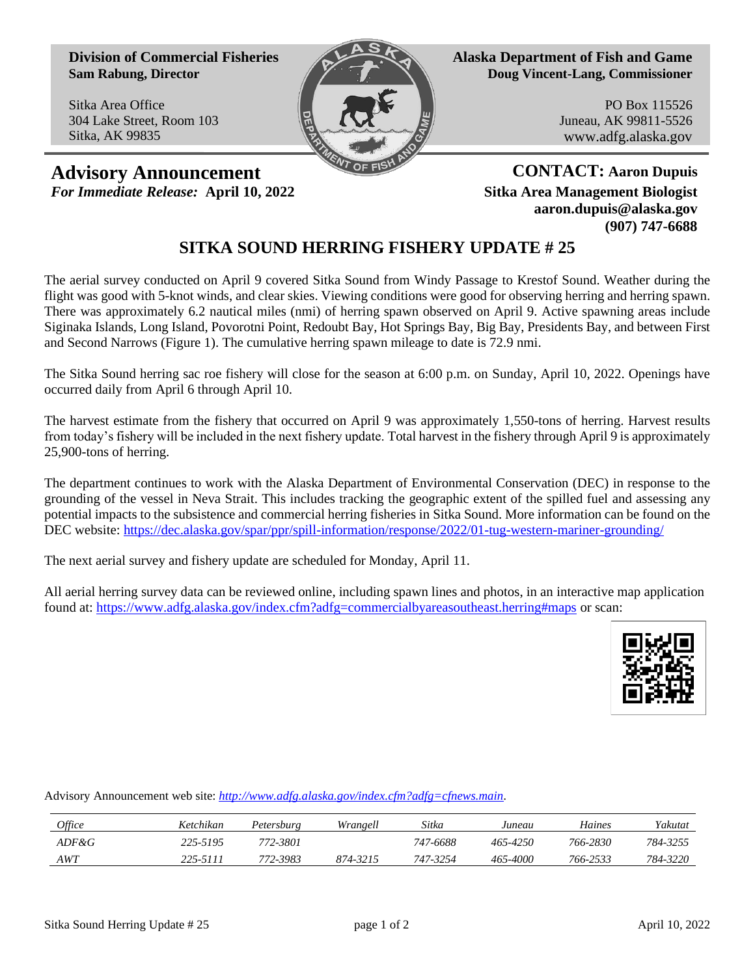**Division of Commercial Fisheries Sam Rabung, Director**

Sitka Area Office 304 Lake Street, Room 103 Sitka, AK 99835



**Alaska Department of Fish and Game Doug Vincent-Lang, Commissioner**

> PO Box 115526 Juneau, AK 99811-5526 www.adfg.alaska.gov

**Advisory Announcement CONTACT:** Aaron Dupuis *For Immediate Release:* **April 10, 2022 Sitka Area Management Biologist**

**aaron.dupuis@alaska.gov (907) 747-6688**

## **SITKA SOUND HERRING FISHERY UPDATE # 25**

The aerial survey conducted on April 9 covered Sitka Sound from Windy Passage to Krestof Sound. Weather during the flight was good with 5-knot winds, and clear skies. Viewing conditions were good for observing herring and herring spawn. There was approximately 6.2 nautical miles (nmi) of herring spawn observed on April 9. Active spawning areas include Siginaka Islands, Long Island, Povorotni Point, Redoubt Bay, Hot Springs Bay, Big Bay, Presidents Bay, and between First and Second Narrows (Figure 1). The cumulative herring spawn mileage to date is 72.9 nmi.

The Sitka Sound herring sac roe fishery will close for the season at 6:00 p.m. on Sunday, April 10, 2022. Openings have occurred daily from April 6 through April 10.

The harvest estimate from the fishery that occurred on April 9 was approximately 1,550-tons of herring. Harvest results from today's fishery will be included in the next fishery update. Total harvest in the fishery through April 9 is approximately 25,900-tons of herring.

The department continues to work with the Alaska Department of Environmental Conservation (DEC) in response to the grounding of the vessel in Neva Strait. This includes tracking the geographic extent of the spilled fuel and assessing any potential impacts to the subsistence and commercial herring fisheries in Sitka Sound. More information can be found on the DEC website:<https://dec.alaska.gov/spar/ppr/spill-information/response/2022/01-tug-western-mariner-grounding/>

The next aerial survey and fishery update are scheduled for Monday, April 11.

All aerial herring survey data can be reviewed online, including spawn lines and photos, in an interactive map application found at: <https://www.adfg.alaska.gov/index.cfm?adfg=commercialbyareasoutheast.herring#maps> or scan:



Advisory Announcement web site: *[http://www.adfg.alaska.gov/index.cfm?adfg=cfnews.main.](http://www.adfg.alaska.gov/index.cfm?adfg=cfnews.main)*

| <i>Office</i> | Ketchikan | Petersburg | Wrangell | Sitka    | Juneau   | Haines   | Yakutat  |
|---------------|-----------|------------|----------|----------|----------|----------|----------|
| ADF&G         | 225-5195  | 772-3801   |          | 747-6688 | 465-4250 | 766-2830 | 784-3255 |
| AWT           | 225-5111  | 772-3983   | 874-3215 | 747-3254 | 465-4000 | 766-2533 | 784-3220 |